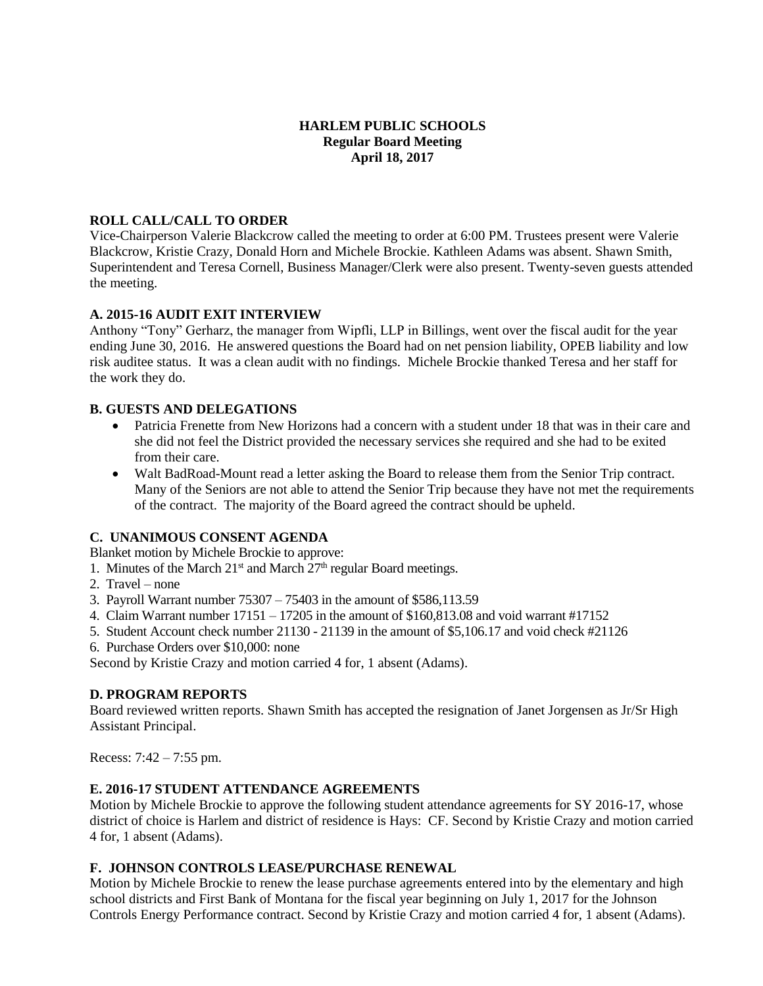### **HARLEM PUBLIC SCHOOLS Regular Board Meeting April 18, 2017**

### **ROLL CALL/CALL TO ORDER**

Vice-Chairperson Valerie Blackcrow called the meeting to order at 6:00 PM. Trustees present were Valerie Blackcrow, Kristie Crazy, Donald Horn and Michele Brockie. Kathleen Adams was absent. Shawn Smith, Superintendent and Teresa Cornell, Business Manager/Clerk were also present. Twenty-seven guests attended the meeting.

# **A. 2015-16 AUDIT EXIT INTERVIEW**

Anthony "Tony" Gerharz, the manager from Wipfli, LLP in Billings, went over the fiscal audit for the year ending June 30, 2016. He answered questions the Board had on net pension liability, OPEB liability and low risk auditee status. It was a clean audit with no findings. Michele Brockie thanked Teresa and her staff for the work they do.

### **B. GUESTS AND DELEGATIONS**

- Patricia Frenette from New Horizons had a concern with a student under 18 that was in their care and she did not feel the District provided the necessary services she required and she had to be exited from their care.
- Walt BadRoad-Mount read a letter asking the Board to release them from the Senior Trip contract. Many of the Seniors are not able to attend the Senior Trip because they have not met the requirements of the contract. The majority of the Board agreed the contract should be upheld.

# **C. UNANIMOUS CONSENT AGENDA**

Blanket motion by Michele Brockie to approve:

- 1. Minutes of the March  $21<sup>st</sup>$  and March  $27<sup>th</sup>$  regular Board meetings.
- 2. Travel none
- 3. Payroll Warrant number 75307 75403 in the amount of \$586,113.59
- 4. Claim Warrant number 17151 17205 in the amount of \$160,813.08 and void warrant #17152
- 5. Student Account check number 21130 21139 in the amount of \$5,106.17 and void check #21126
- 6. Purchase Orders over \$10,000: none

Second by Kristie Crazy and motion carried 4 for, 1 absent (Adams).

# **D. PROGRAM REPORTS**

Board reviewed written reports. Shawn Smith has accepted the resignation of Janet Jorgensen as Jr/Sr High Assistant Principal.

Recess: 7:42 – 7:55 pm.

# **E. 2016-17 STUDENT ATTENDANCE AGREEMENTS**

Motion by Michele Brockie to approve the following student attendance agreements for SY 2016-17, whose district of choice is Harlem and district of residence is Hays: CF. Second by Kristie Crazy and motion carried 4 for, 1 absent (Adams).

### **F. JOHNSON CONTROLS LEASE/PURCHASE RENEWAL**

Motion by Michele Brockie to renew the lease purchase agreements entered into by the elementary and high school districts and First Bank of Montana for the fiscal year beginning on July 1, 2017 for the Johnson Controls Energy Performance contract. Second by Kristie Crazy and motion carried 4 for, 1 absent (Adams).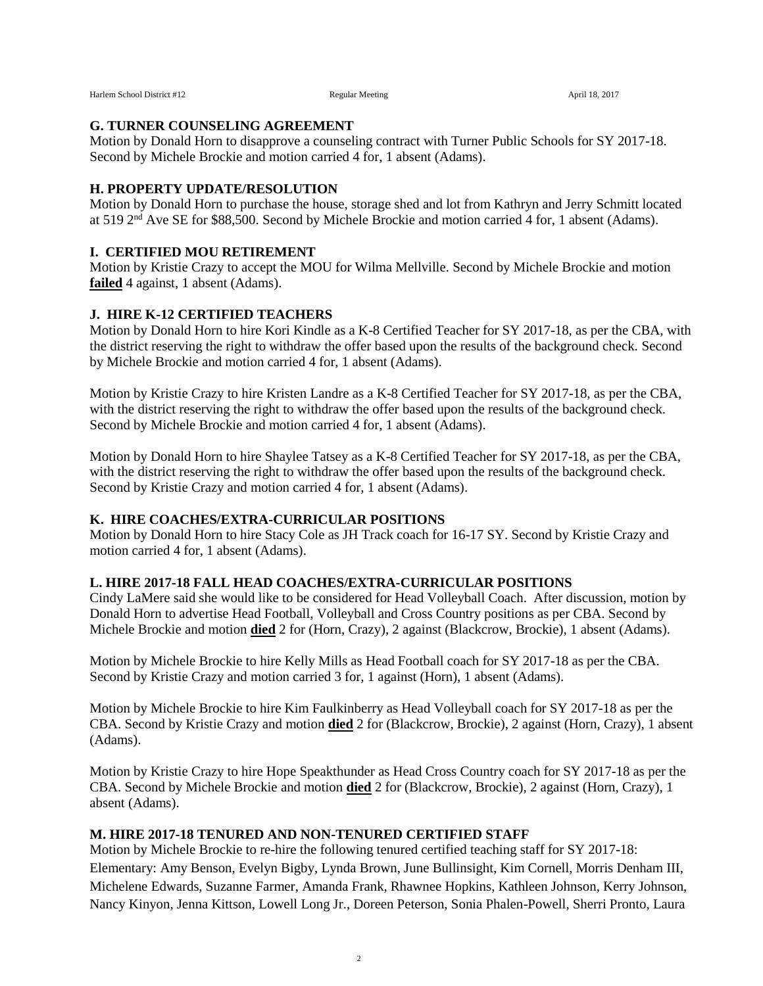#### **G. TURNER COUNSELING AGREEMENT**

Motion by Donald Horn to disapprove a counseling contract with Turner Public Schools for SY 2017-18. Second by Michele Brockie and motion carried 4 for, 1 absent (Adams).

# **H. PROPERTY UPDATE/RESOLUTION**

Motion by Donald Horn to purchase the house, storage shed and lot from Kathryn and Jerry Schmitt located at 519 2<sup>nd</sup> Ave SE for \$88,500. Second by Michele Brockie and motion carried 4 for, 1 absent (Adams).

## **I. CERTIFIED MOU RETIREMENT**

Motion by Kristie Crazy to accept the MOU for Wilma Mellville. Second by Michele Brockie and motion **failed** 4 against, 1 absent (Adams).

# **J. HIRE K-12 CERTIFIED TEACHERS**

Motion by Donald Horn to hire Kori Kindle as a K-8 Certified Teacher for SY 2017-18, as per the CBA, with the district reserving the right to withdraw the offer based upon the results of the background check. Second by Michele Brockie and motion carried 4 for, 1 absent (Adams).

Motion by Kristie Crazy to hire Kristen Landre as a K-8 Certified Teacher for SY 2017-18, as per the CBA, with the district reserving the right to withdraw the offer based upon the results of the background check. Second by Michele Brockie and motion carried 4 for, 1 absent (Adams).

Motion by Donald Horn to hire Shaylee Tatsey as a K-8 Certified Teacher for SY 2017-18, as per the CBA, with the district reserving the right to withdraw the offer based upon the results of the background check. Second by Kristie Crazy and motion carried 4 for, 1 absent (Adams).

### **K. HIRE COACHES/EXTRA-CURRICULAR POSITIONS**

Motion by Donald Horn to hire Stacy Cole as JH Track coach for 16-17 SY. Second by Kristie Crazy and motion carried 4 for, 1 absent (Adams).

### **L. HIRE 2017-18 FALL HEAD COACHES/EXTRA-CURRICULAR POSITIONS**

Cindy LaMere said she would like to be considered for Head Volleyball Coach. After discussion, motion by Donald Horn to advertise Head Football, Volleyball and Cross Country positions as per CBA. Second by Michele Brockie and motion **died** 2 for (Horn, Crazy), 2 against (Blackcrow, Brockie), 1 absent (Adams).

Motion by Michele Brockie to hire Kelly Mills as Head Football coach for SY 2017-18 as per the CBA. Second by Kristie Crazy and motion carried 3 for, 1 against (Horn), 1 absent (Adams).

Motion by Michele Brockie to hire Kim Faulkinberry as Head Volleyball coach for SY 2017-18 as per the CBA. Second by Kristie Crazy and motion **died** 2 for (Blackcrow, Brockie), 2 against (Horn, Crazy), 1 absent (Adams).

Motion by Kristie Crazy to hire Hope Speakthunder as Head Cross Country coach for SY 2017-18 as per the CBA. Second by Michele Brockie and motion **died** 2 for (Blackcrow, Brockie), 2 against (Horn, Crazy), 1 absent (Adams).

### **M. HIRE 2017-18 TENURED AND NON-TENURED CERTIFIED STAFF**

Motion by Michele Brockie to re-hire the following tenured certified teaching staff for SY 2017-18: Elementary: Amy Benson, Evelyn Bigby, Lynda Brown, June Bullinsight, Kim Cornell, Morris Denham III, Michelene Edwards, Suzanne Farmer, Amanda Frank, Rhawnee Hopkins, Kathleen Johnson, Kerry Johnson, Nancy Kinyon, Jenna Kittson, Lowell Long Jr., Doreen Peterson, Sonia Phalen-Powell, Sherri Pronto, Laura